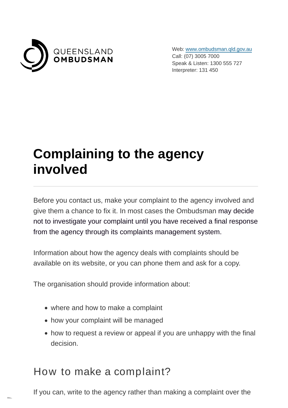

Web: [www.ombudsman.qld.gov.au](https://www.ombudsman.qld.gov.au/) Call: (07) 3005 7000 Speak & Listen: 1300 555 727 Interpreter: 131 450

# **Complaining to the agency involved**

Before you contact us, make your complaint to the agency involved and give them a chance to fix it. In most cases the Ombudsman may decide not to investigate your complaint until you have received a final response from the agency through its complaints management system.

Information about how the agency deals with complaints should be available on its website, or you can phone them and ask for a copy.

The organisation should provide information about:

- where and how to make a complaint
- how your complaint will be managed
- how to request a review or appeal if you are unhappy with the final decision.

#### How to make a complaint?

If you can, write to the agency rather than making a complaint over the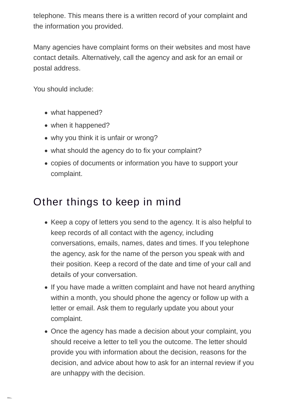telephone. This means there is a written record of your complaint and the information you provided.

Many agencies have complaint forms on their websites and most have contact details. Alternatively, call the agency and ask for an email or postal address.

You should include:

- what happened?
- when it happened?
- why you think it is unfair or wrong?
- what should the agency do to fix your complaint?
- copies of documents or information you have to support your complaint.

### Other things to keep in mind

- Keep a copy of letters you send to the agency. It is also helpful to keep records of all contact with the agency, including conversations, emails, names, dates and times. If you telephone the agency, ask for the name of the person you speak with and their position. Keep a record of the date and time of your call and details of your conversation.
- If you have made a written complaint and have not heard anything within a month, you should phone the agency or follow up with a letter or email. Ask them to regularly update you about your complaint.
- Once the agency has made a decision about your complaint, you should receive a letter to tell you the outcome. The letter should provide you with information about the decision, reasons for the decision, and advice about how to ask for an internal review if you are unhappy with the decision.